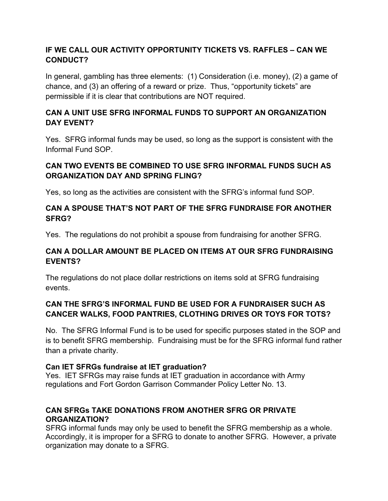# **IF WE CALL OUR ACTIVITY OPPORTUNITY TICKETS VS. RAFFLES – CAN WE CONDUCT?**

In general, gambling has three elements: (1) Consideration (i.e. money), (2) a game of chance, and (3) an offering of a reward or prize. Thus, "opportunity tickets" are permissible if it is clear that contributions are NOT required.

# **CAN A UNIT USE SFRG INFORMAL FUNDS TO SUPPORT AN ORGANIZATION DAY EVENT?**

Yes. SFRG informal funds may be used, so long as the support is consistent with the Informal Fund SOP.

# **CAN TWO EVENTS BE COMBINED TO USE SFRG INFORMAL FUNDS SUCH AS ORGANIZATION DAY AND SPRING FLING?**

Yes, so long as the activities are consistent with the SFRG's informal fund SOP.

## **CAN A SPOUSE THAT'S NOT PART OF THE SFRG FUNDRAISE FOR ANOTHER SFRG?**

Yes. The regulations do not prohibit a spouse from fundraising for another SFRG.

# **CAN A DOLLAR AMOUNT BE PLACED ON ITEMS AT OUR SFRG FUNDRAISING EVENTS?**

The regulations do not place dollar restrictions on items sold at SFRG fundraising events.

# **CAN THE SFRG'S INFORMAL FUND BE USED FOR A FUNDRAISER SUCH AS CANCER WALKS, FOOD PANTRIES, CLOTHING DRIVES OR TOYS FOR TOTS?**

No. The SFRG Informal Fund is to be used for specific purposes stated in the SOP and is to benefit SFRG membership. Fundraising must be for the SFRG informal fund rather than a private charity.

## **Can IET SFRGs fundraise at IET graduation?**

Yes. IET SFRGs may raise funds at IET graduation in accordance with Army regulations and Fort Gordon Garrison Commander Policy Letter No. 13.

# **CAN SFRGs TAKE DONATIONS FROM ANOTHER SFRG OR PRIVATE ORGANIZATION?**

SFRG informal funds may only be used to benefit the SFRG membership as a whole. Accordingly, it is improper for a SFRG to donate to another SFRG. However, a private organization may donate to a SFRG.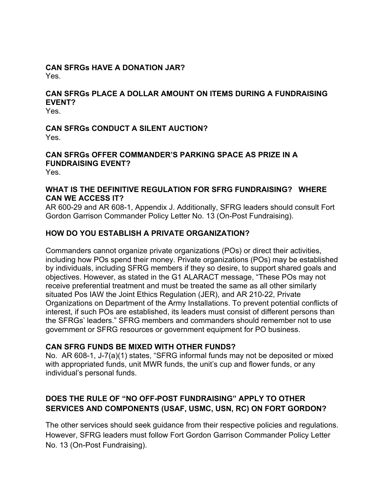#### **CAN SFRGs HAVE A DONATION JAR?** Yes.

# **CAN SFRGs PLACE A DOLLAR AMOUNT ON ITEMS DURING A FUNDRAISING EVENT?**

Yes.

#### **CAN SFRGs CONDUCT A SILENT AUCTION?** Yes.

# **CAN SFRGs OFFER COMMANDER'S PARKING SPACE AS PRIZE IN A FUNDRAISING EVENT?**

Yes.

#### **WHAT IS THE DEFINITIVE REGULATION FOR SFRG FUNDRAISING? WHERE CAN WE ACCESS IT?**

AR 600-29 and AR 608-1, Appendix J. Additionally, SFRG leaders should consult Fort Gordon Garrison Commander Policy Letter No. 13 (On-Post Fundraising).

## **HOW DO YOU ESTABLISH A PRIVATE ORGANIZATION?**

Commanders cannot organize private organizations (POs) or direct their activities, including how POs spend their money. Private organizations (POs) may be established by individuals, including SFRG members if they so desire, to support shared goals and objectives. However, as stated in the G1 ALARACT message, "These POs may not receive preferential treatment and must be treated the same as all other similarly situated Pos IAW the Joint Ethics Regulation (JER), and AR 210-22, Private Organizations on Department of the Army Installations. To prevent potential conflicts of interest, if such POs are established, its leaders must consist of different persons than the SFRGs' leaders." SFRG members and commanders should remember not to use government or SFRG resources or government equipment for PO business.

## **CAN SFRG FUNDS BE MIXED WITH OTHER FUNDS?**

No. AR 608-1, J-7(a)(1) states, "SFRG informal funds may not be deposited or mixed with appropriated funds, unit MWR funds, the unit's cup and flower funds, or any individual's personal funds.

# **DOES THE RULE OF "NO OFF-POST FUNDRAISING" APPLY TO OTHER SERVICES AND COMPONENTS (USAF, USMC, USN, RC) ON FORT GORDON?**

The other services should seek guidance from their respective policies and regulations. However, SFRG leaders must follow Fort Gordon Garrison Commander Policy Letter No. 13 (On-Post Fundraising).